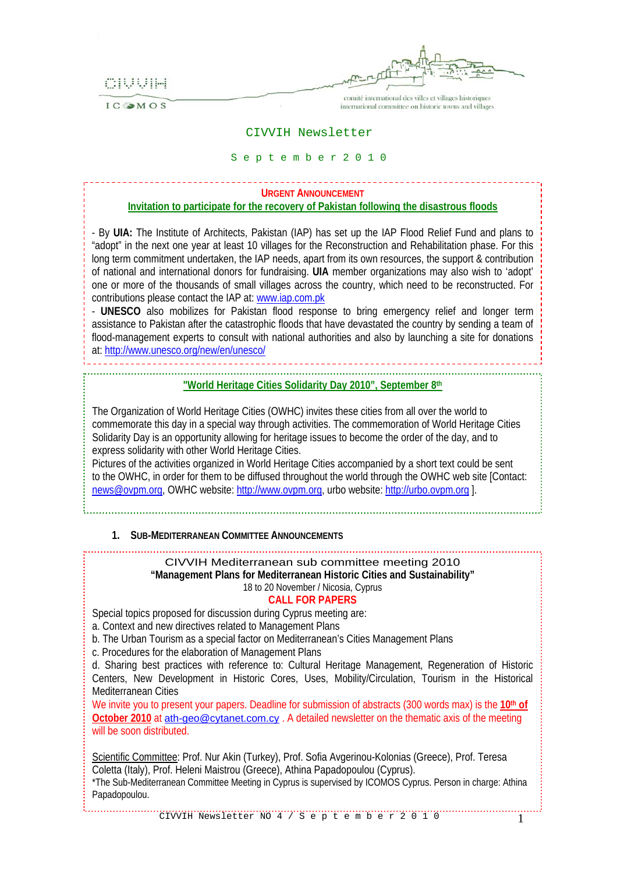CIUUIH

IC OMOS



comité international des villes et villages historiques international committee on historic towns and villages

### CIVVIH Newsletter

#### S e p t e m b e r 2 0 1 0

# **URGENT ANNOUNCEMENT Invitation to participate for the recovery of Pakistan following the disastrous floods**

- By **UIA:** The Institute of Architects, Pakistan (IAP) has set up the IAP Flood Relief Fund and plans to "adopt" in the next one year at least 10 villages for the Reconstruction and Rehabilitation phase. For this long term commitment undertaken, the IAP needs, apart from its own resources, the support & contribution of national and international donors for fundraising. **UIA** member organizations may also wish to 'adopt' one or more of the thousands of small villages across the country, which need to be reconstructed. For contributions please contact the IAP at: [www.iap.com.pk](http://www.iap.com.pk/)

- **UNESCO** also mobilizes for Pakistan flood response to bring emergency relief and longer term assistance to Pakistan after the catastrophic floods that have devastated the country by sending a team of flood-management experts to consult with national authorities and also by launching a site for donations at:<http://www.unesco.org/new/en/unesco/>

## **"World Heritage Cities Solidarity Day 2010", September 8th**

The Organization of World Heritage Cities (OWHC) invites these cities from all over the world to commemorate this day in a special way through activities. The commemoration of World Heritage Cities Solidarity Day is an opportunity allowing for heritage issues to become the order of the day, and to express solidarity with other World Heritage Cities.

Pictures of the activities organized in World Heritage Cities accompanied by a short text could be sent to the OWHC, in order for them to be diffused throughout the world through the OWHC web site [Contact: [news@ovpm.org,](mailto:news@ovpm.org) OWHC website: [http://www.ovpm.org,](http://www.ovpm.org/) urbo website: [http://urbo.ovpm.org](http://urbo.ovpm.org/) ].

### **1. SUB-MEDITERRANEAN COMMITTEE ANNOUNCEMENTS**

CIVVIH Mediterranean sub committee meeting 2010 **"Management Plans for Mediterranean Historic Cities and Sustainability"**  18 to 20 November / Nicosia, Cyprus

## **CALL FOR PAPERS**

Special topics proposed for discussion during Cyprus meeting are:

a. Context and new directives related to Management Plans

b. The Urban Tourism as a special factor on Mediterranean's Cities Management Plans

c. Procedures for the elaboration of Management Plans

d. Sharing best practices with reference to: Cultural Heritage Management, Regeneration of Historic Centers, New Development in Historic Cores, Uses, Mobility/Circulation, Tourism in the Historical Mediterranean Cities

We invite you to present your papers. Deadline for submission of abstracts (300 words max) is the 10<sup>th</sup> of **October 2010** at [ath-geo@cytanet.com.cy](mailto:ath-geo@cytanet.com.cy). A detailed newsletter on the thematic axis of the meeting will be soon distributed.

Scientific Committee: Prof. Nur Akin (Turkey), Prof. Sofia Avgerinou-Kolonias (Greece), Prof. Teresa Coletta (Italy), Prof. Heleni Maistrou (Greece), Athina Papadopoulou (Cyprus).

\*The Sub-Mediterranean Committee Meeting in Cyprus is supervised by ICOMOS Cyprus. Person in charge: Athina Papadopoulou.

CIVVIH Newsletter NO 4 / S e p t e m b e r 2 0 1 0 1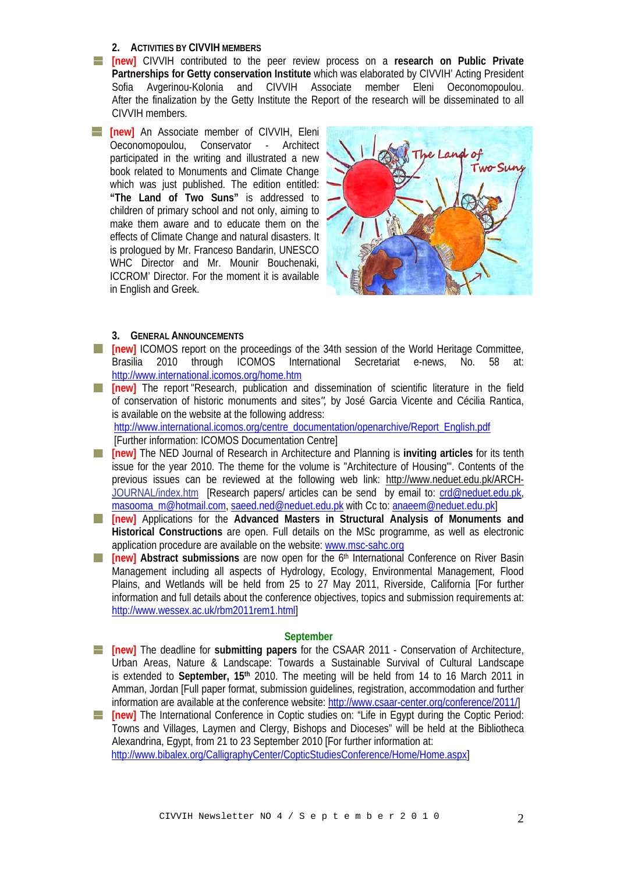### **2. ACTIVITIES BY CIVVIH MEMBERS**

- **[new]** CIVVIH contributed to the peer review process on a **research on Public Private Partnerships for Getty conservation Institute** which was elaborated by CIVVIH' Acting President Sofia Avgerinou-Kolonia and CIVVIH Associate member Eleni Oeconomopoulou. After the finalization by the Getty Institute the Report of the research will be disseminated to all CIVVIH members.
- **FF Inewl** An Associate member of CIVVIH, Eleni Oeconomopoulou, Conservator - Architect participated in the writing and illustrated a new book related to Monuments and Climate Change which was just published. The edition entitled: **"The Land of Two Suns"** is addressed to children of primary school and not only, aiming to make them aware and to educate them on the effects of Climate Change and natural disasters. It is prologued by Mr. Franceso Bandarin, UNESCO WHC Director and Mr. Mounir Bouchenaki, ICCROM' Director. For the moment it is available in English and Greek.



### **3. GENERAL ANNOUNCEMENTS**

- **[inew]** ICOMOS report on the proceedings of the 34th session of the World Heritage Committee, Brasilia 2010 through ICOMOS International Secretariat e-news, No. 58 at: <http://www.international.icomos.org/home.htm>
- **[new]** The report "Research, publication and dissemination of scientific literature in the field of conservation of historic monuments and sites*",* by José Garcia Vicente and Cécilia Rantica, is available on the website at the following address:

[http://www.international.icomos.org/centre\\_documentation/openarchive/Report\\_English.pdf](http://www.international.icomos.org/centre_documentation/openarchive/Report_English.pdf) [Further information: ICOMOS Documentation Centre]

- **[new]** The NED Journal of Research in Architecture and Planning is **inviting articles** for its tenth issue for the year 2010. The theme for the volume is "Architecture of Housing'". Contents of the previous issues can be reviewed at the following web link: [http://www.neduet.edu.pk/ARCH-](http://www.neduet.edu.pk/ARCH-JOURNAL/index.htm)[JOURNAL/index.htm](http://www.neduet.edu.pk/ARCH-JOURNAL/index.htm) [Research papers/ articles can be send by email to: [crd@neduet.edu.pk,](mailto:crd@neduet.edu.pk) [masooma\\_m@hotmail.com,](mailto:masooma_m@hotmail.com) [saeed.ned@neduet.edu.pk](mailto:saeed.ned@neduet.edu.pk) with Cc to: [anaeem@neduet.edu.pk](mailto:anaeem@neduet.edu.pk)]
- **[new]** Applications for the **Advanced Masters in Structural Analysis of Monuments and**  <u>a k</u> **Historical Constructions** are open. Full details on the MSc programme, as well as electronic application procedure are available on the website: [www.msc-sahc.org](http://www.msc-sahc.org/)
- **[new]** Abstract submissions are now open for the 6<sup>th</sup> International Conference on River Basin a ka Management including all aspects of Hydrology, Ecology, Environmental Management, Flood Plains, and Wetlands will be held from 25 to 27 May 2011, Riverside, California [For further information and full details about the conference objectives, topics and submission requirements at: [http://www.wessex.ac.uk/rbm2011rem1.html\]](http://www.wessex.ac.uk/rbm2011rem1.html)

#### **September**

- **[new]** The deadline for **submitting papers** for the CSAAR 2011 Conservation of Architecture, Urban Areas, Nature & Landscape: Towards a Sustainable Survival of Cultural Landscape is extended to **September, 15th** 2010. The meeting will be held from 14 to 16 March 2011 in Amman, Jordan [Full paper format, submission guidelines, registration, accommodation and further information are available at the conference website: <http://www.csaar-center.org/conference/2011/>]
- **[inew]** The International Conference in Coptic studies on: "Life in Egypt during the Coptic Period: Towns and Villages, Laymen and Clergy, Bishops and Dioceses" will be held at the Bibliotheca Alexandrina, Egypt, from 21 to 23 September 2010 [For further information at: <http://www.bibalex.org/CalligraphyCenter/CopticStudiesConference/Home/Home.aspx>]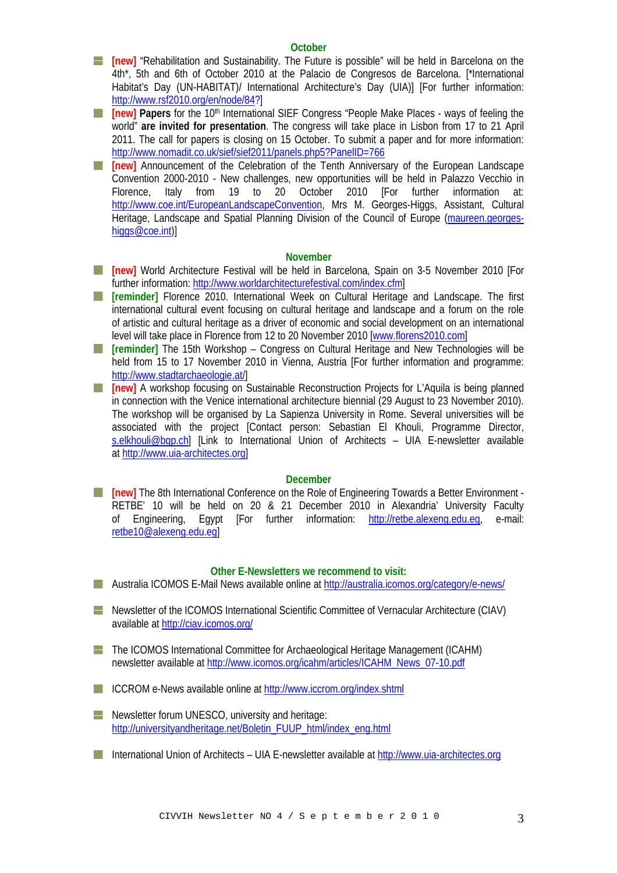#### **October**

**[abilitation**] ["Rehabilitation and Sustainability. The Future is possible"](http://www.rsf2010.org/en/pres) will be held in Barcelona on the 4th\*, 5th and 6th of October 2010 at the Palacio de Congresos de Barcelona. [\*International Habitat's Day (UN-HABITAT)/ International Architecture's Day (UIA)] [For further information: [http://www.rsf2010.org/en/node/84?](http://www.rsf2010.org/en/node/84)]

**If Inewl Papers** for the 10<sup>th</sup> International SIEF Congress "People Make Places - ways of feeling the world" **are invited for presentation**. The congress will take place in Lisbon from 17 to 21 April 2011. The call for papers is closing on 15 October. To submit a paper and for more information: <http://www.nomadit.co.uk/sief/sief2011/panels.php5?PanelID=766>

**[at linew]** Announcement of the Celebration of the Tenth Anniversary of the European Landscape Convention 2000-2010 - New challenges, new opportunities will be held in Palazzo Vecchio in Florence, Italy from 19 to 20 October 2010 [For further information at: [http://www.coe.int/EuropeanLandscapeConvention,](http://www.coe.int/EuropeanLandscapeConvention) Mrs M. Georges-Higgs, Assistant, Cultural Heritage, Landscape and Spatial Planning Division of the Council of Europe ([maureen.georges](mailto:maureen.georges-higgs@coe.int)[higgs@coe.int](mailto:maureen.georges-higgs@coe.int))]

### **November**

- **[new]** World Architecture Festival will be held in Barcelona, Spain on 3-5 November 2010 [For further information:<http://www.worldarchitecturefestival.com/index.cfm>]
- **[reminder]** Florence 2010. International Week on Cultural Heritage and Landscape. The first <u>e l</u> international cultural event focusing on cultural heritage and landscape and a forum on the role of artistic and cultural heritage as a driver of economic and social development on an international level will take place in Florence from 12 to 20 November 2010 [www.florens2010.com]
- **[reminder]** The 15th Workshop Congress on Cultural Heritage and New Technologies will be held from 15 to 17 November 2010 in Vienna, Austria [For further information and programme: <http://www.stadtarchaeologie.at/>]
- **[inew]** A workshop focusing on Sustainable Reconstruction Projects for L'Aquila is being planned in connection with the Venice international architecture biennial (29 August to 23 November 2010). The workshop will be organised by La Sapienza University in Rome. Several universities will be associated with the project [Contact person: Sebastian El Khouli, Programme Director, [s.elkhouli@bgp.ch\]](mailto:s.elkhouli@bgp.ch) [Link to International Union of Architects – UIA E-newsletter available at [http://www.uia-architectes.org\]](http://www.uia-architectes.org/)

### **December**

**[new]** The 8th International Conference on the Role of Engineering Towards a Better Environment -RETBE' 10 will be held on 20 & 21 December 2010 in Alexandria' University Faculty of Engineering, Egypt [For further information: [http://retbe.alexeng.edu.eg,](http://retbe.alexeng.edu.eg/) e-mail: [retbe10@alexeng.edu.eg](mailto:retbe10@alexeng.edu.eg)]

### **Other E-Newsletters we recommend to visit:**

- Australia ICOMOS E-Mail News available online at<http://australia.icomos.org/category/e-news/>
- Newsletter of the ICOMOS International Scientific Committee of Vernacular Architecture (CIAV) available at<http://ciav.icomos.org/>
- **The ICOMOS International Committee for Archaeological Heritage Management (ICAHM)** newsletter available at [http://www.icomos.org/icahm/articles/ICAHM\\_News\\_07-10.pdf](http://www.icomos.org/icahm/articles/ICAHM_News_07-10.pdf)
- ICCROM e-News available online at <http://www.iccrom.org/index.shtml>
- **Newsletter forum UNESCO, university and heritage:** [http://universityandheritage.net/Boletin\\_FUUP\\_html/index\\_eng.html](http://universityandheritage.net/Boletin_FUUP_html/index_eng.html)
- International Union of Architects UIA E-newsletter available at [http://www.uia-architectes.org](http://www.uia-architectes.org/)